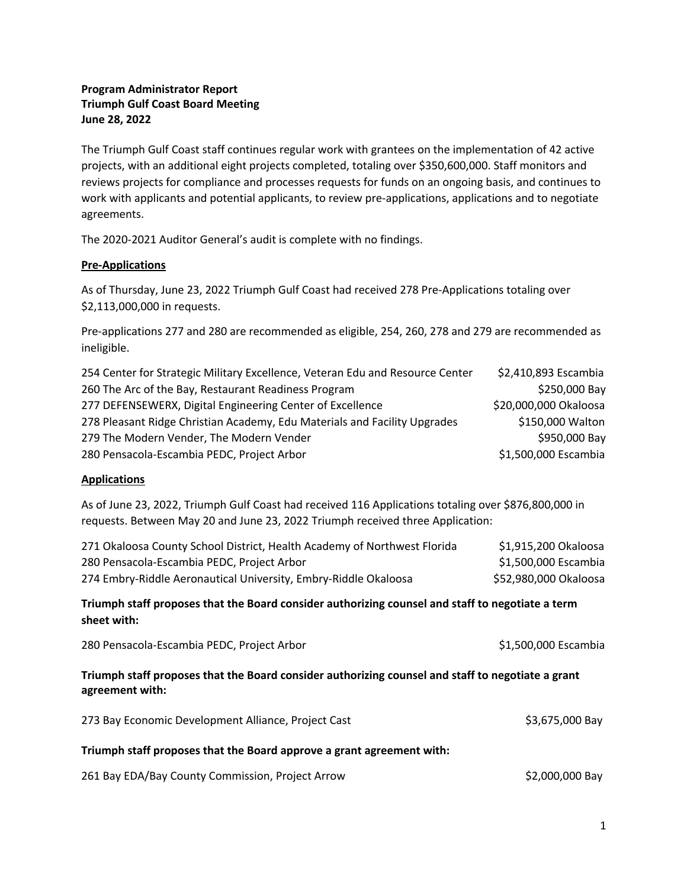## **Program Administrator Report Triumph Gulf Coast Board Meeting June 28, 2022**

The Triumph Gulf Coast staff continues regular work with grantees on the implementation of 42 active projects, with an additional eight projects completed, totaling over \$350,600,000. Staff monitors and reviews projects for compliance and processes requests for funds on an ongoing basis, and continues to work with applicants and potential applicants, to review pre-applications, applications and to negotiate agreements.

The 2020-2021 Auditor General's audit is complete with no findings.

## **Pre-Applications**

As of Thursday, June 23, 2022 Triumph Gulf Coast had received 278 Pre-Applications totaling over \$2,113,000,000 in requests.

Pre-applications 277 and 280 are recommended as eligible, 254, 260, 278 and 279 are recommended as ineligible.

| 254 Center for Strategic Military Excellence, Veteran Edu and Resource Center | \$2,410,893 Escambia  |
|-------------------------------------------------------------------------------|-----------------------|
| 260 The Arc of the Bay, Restaurant Readiness Program                          | \$250,000 Bay         |
| 277 DEFENSEWERX, Digital Engineering Center of Excellence                     | \$20,000,000 Okaloosa |
| 278 Pleasant Ridge Christian Academy, Edu Materials and Facility Upgrades     | \$150,000 Walton      |
| 279 The Modern Vender, The Modern Vender                                      | \$950,000 Bay         |
| 280 Pensacola-Escambia PEDC, Project Arbor                                    | \$1,500,000 Escambia  |

## **Applications**

As of June 23, 2022, Triumph Gulf Coast had received 116 Applications totaling over \$876,800,000 in requests. Between May 20 and June 23, 2022 Triumph received three Application:

| 271 Okaloosa County School District, Health Academy of Northwest Florida | \$1,915,200 Okaloosa  |
|--------------------------------------------------------------------------|-----------------------|
| 280 Pensacola-Escambia PEDC, Project Arbor                               | \$1,500,000 Escambia  |
| 274 Embry-Riddle Aeronautical University, Embry-Riddle Okaloosa          | \$52,980,000 Okaloosa |

## **Triumph staff proposes that the Board consider authorizing counsel and staff to negotiate a term sheet with:**

| 280 Pensacola-Escambia PEDC, Project Arbor | \$1,500,000 Escambia |
|--------------------------------------------|----------------------|
|--------------------------------------------|----------------------|

## **Triumph staff proposes that the Board consider authorizing counsel and staff to negotiate a grant agreement with:**

| 273 Bay Economic Development Alliance, Project Cast                   | \$3,675,000 Bay |  |  |  |  |  |  |
|-----------------------------------------------------------------------|-----------------|--|--|--|--|--|--|
| Triumph staff proposes that the Board approve a grant agreement with: |                 |  |  |  |  |  |  |
| 261 Bay EDA/Bay County Commission, Project Arrow                      | \$2,000,000 Bay |  |  |  |  |  |  |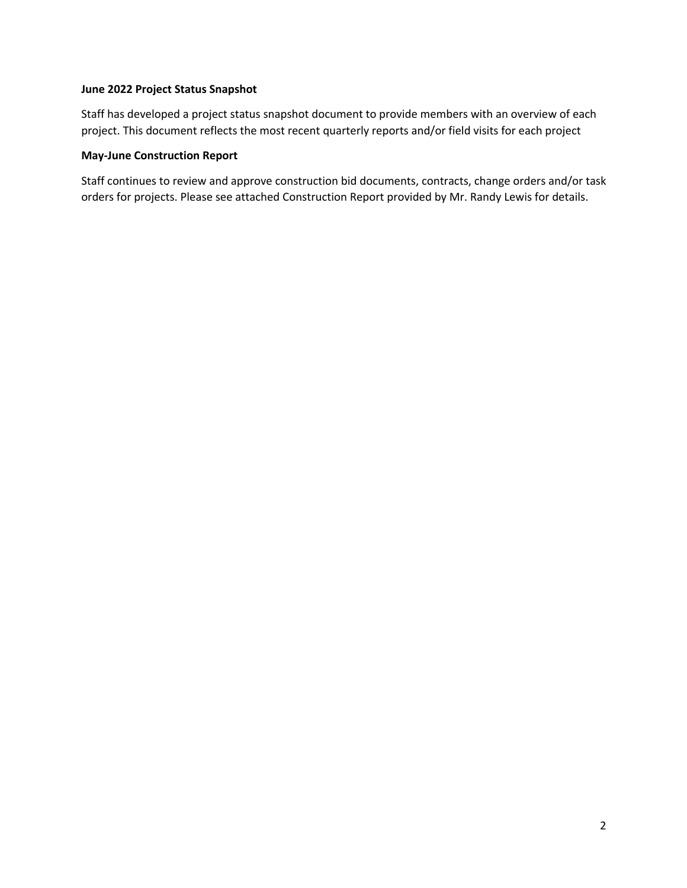## **June 2022 Project Status Snapshot**

Staff has developed a project status snapshot document to provide members with an overview of each project. This document reflects the most recent quarterly reports and/or field visits for each project

## **May-June Construction Report**

Staff continues to review and approve construction bid documents, contracts, change orders and/or task orders for projects. Please see attached Construction Report provided by Mr. Randy Lewis for details.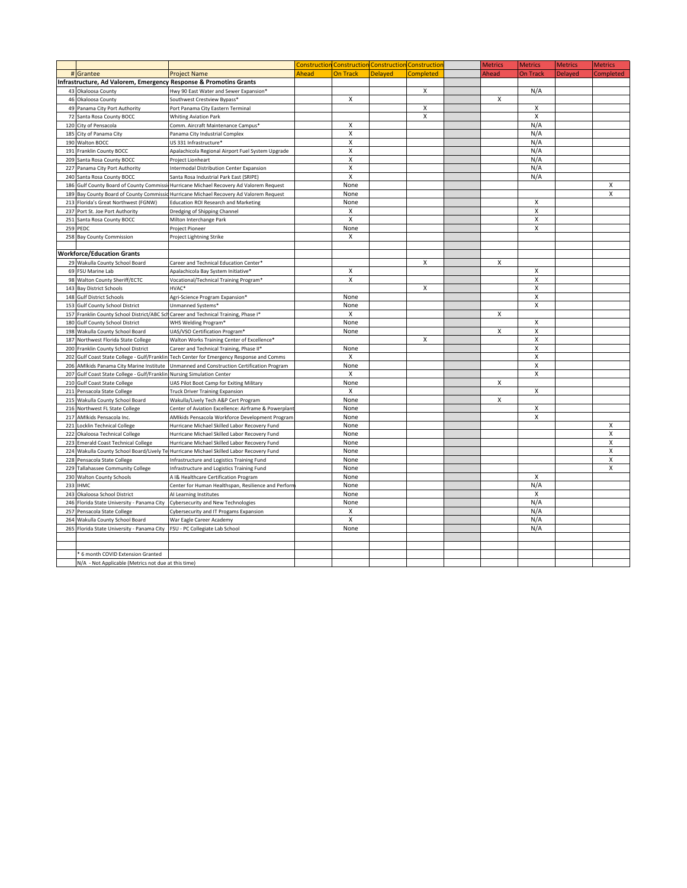|     |                                                                   |                                                      |       |                           | Construction Construction Construction Constructio |                  | <b>Metrics</b> | <b>Metrics</b>            | <b>Metrics</b> | <b>Metrics</b> |
|-----|-------------------------------------------------------------------|------------------------------------------------------|-------|---------------------------|----------------------------------------------------|------------------|----------------|---------------------------|----------------|----------------|
|     | # Grantee                                                         | <b>Project Name</b>                                  | Ahead | <b>On Track</b>           | <b>Delayed</b>                                     | <b>Completed</b> | Ahead          | <b>On Track</b>           | <b>Delayed</b> | Completed      |
|     | Infrastructure, Ad Valorem, Emergency Response & Promotins Grants |                                                      |       |                           |                                                    |                  |                |                           |                |                |
|     | 43 Okaloosa County                                                | Hwy 90 East Water and Sewer Expansion*               |       |                           |                                                    | $\mathsf{x}$     |                | N/A                       |                |                |
|     | 46 Okaloosa County                                                | Southwest Crestview Bypass*                          |       | X                         |                                                    |                  | х              |                           |                |                |
|     | 49 Panama City Port Authority                                     | Port Panama City Eastern Terminal                    |       |                           |                                                    | X                |                | $\boldsymbol{\mathsf{X}}$ |                |                |
|     | 72 Santa Rosa County BOCC                                         | <b>Whiting Aviation Park</b>                         |       |                           |                                                    | X                |                | $\boldsymbol{\mathsf{X}}$ |                |                |
| 120 | City of Pensacola                                                 | Comm. Aircraft Maintenance Campus*                   |       | $\overline{\mathsf{x}}$   |                                                    |                  |                | N/A                       |                |                |
|     | 185 City of Panama City                                           | Panama City Industrial Complex                       |       | X                         |                                                    |                  |                | N/A                       |                |                |
|     | 190 Walton BOCC                                                   | US 331 Infrastructure*                               |       | $\mathsf{X}$              |                                                    |                  |                | N/A                       |                |                |
|     | 191 Franklin County BOCC                                          | Apalachicola Regional Airport Fuel System Upgrade    |       | $\overline{\mathsf{x}}$   |                                                    |                  |                | N/A                       |                |                |
| 209 | Santa Rosa County BOCC                                            | Project Lionheart                                    |       | $\mathsf{x}$              |                                                    |                  |                | N/A                       |                |                |
| 227 | Panama City Port Authority                                        | Intermodal Distribution Center Expansion             |       | $\overline{\mathsf{x}}$   |                                                    |                  |                | N/A                       |                |                |
| 240 | Santa Rosa County BOCC                                            | Santa Rosa Industrial Park East (SRIPE)              |       | $\mathsf{x}$              |                                                    |                  |                | N/A                       |                |                |
|     | 186 Gulf County Board of County Commiss                           | Hurricane Michael Recovery Ad Valorem Request        |       | None                      |                                                    |                  |                |                           |                | x              |
| 189 | Bay County Board of County Commissie                              | Hurricane Michael Recovery Ad Valorem Request        |       | None                      |                                                    |                  |                |                           |                | X              |
| 213 | Florida's Great Northwest (FGNW)                                  | <b>Education ROI Research and Marketing</b>          |       | None                      |                                                    |                  |                | X                         |                |                |
| 237 | Port St. Joe Port Authority                                       | Dredging of Shipping Channel                         |       | X                         |                                                    |                  |                | X                         |                |                |
| 251 | Santa Rosa County BOCC                                            | Milton Interchange Park                              |       | $\boldsymbol{\mathsf{x}}$ |                                                    |                  |                | X                         |                |                |
|     | 259 PEDC                                                          | Project Pioneer                                      |       | None                      |                                                    |                  |                | $\boldsymbol{\mathsf{X}}$ |                |                |
|     | 258 Bay County Commission                                         | Project Lightning Strike                             |       | $\boldsymbol{\mathsf{X}}$ |                                                    |                  |                |                           |                |                |
|     |                                                                   |                                                      |       |                           |                                                    |                  |                |                           |                |                |
|     | <b>Workforce/Education Grants</b>                                 |                                                      |       |                           |                                                    |                  |                |                           |                |                |
|     | 29 Wakulla County School Board                                    |                                                      |       |                           |                                                    | X                | X              |                           |                |                |
|     | 69 FSU Marine Lab                                                 | Career and Technical Education Center*               |       | X                         |                                                    |                  |                | X                         |                |                |
|     | 98 Walton County Sheriff/ECTC                                     | Apalachicola Bay System Initiative*                  |       | X                         |                                                    |                  |                | X                         |                |                |
|     |                                                                   | Vocational/Technical Training Program*               |       |                           |                                                    | X                |                | $\boldsymbol{\mathsf{X}}$ |                |                |
| 143 | <b>Bay District Schools</b>                                       | HVAC*                                                |       |                           |                                                    |                  |                | $\boldsymbol{\mathsf{X}}$ |                |                |
|     | 148 Gulf District Schools                                         | Agri-Science Program Expansion*                      |       | None                      |                                                    |                  |                | $\mathsf{X}$              |                |                |
| 153 | <b>Gulf County School District</b>                                | Unmanned Systems*                                    |       | None                      |                                                    |                  |                |                           |                |                |
| 157 | Franklin County School District/ABC Scl                           | Career and Technical Training, Phase I*              |       | X                         |                                                    |                  | X              |                           |                |                |
| 180 | <b>Gulf County School District</b>                                | WHS Welding Program*                                 |       | None                      |                                                    |                  |                | $\boldsymbol{\mathsf{X}}$ |                |                |
| 198 | Wakulla County School Board                                       | UAS/VSO Certification Program*                       |       | None                      |                                                    |                  | X              | $\boldsymbol{\mathsf{X}}$ |                |                |
| 187 | Northwest Florida State College                                   | Walton Works Training Center of Excellence*          |       |                           |                                                    | X                |                | $\overline{\mathsf{x}}$   |                |                |
|     | 200 Franklin County School District                               | Career and Technical Training, Phase II*             |       | None                      |                                                    |                  |                | $\mathsf{X}$              |                |                |
| 202 | Gulf Coast State College - Gulf/Frankli                           | Tech Center for Emergency Response and Comms         |       | X                         |                                                    |                  |                | $\mathsf{X}$              |                |                |
| 206 | AMIkids Panama City Marine Institute                              | Unmanned and Construction Certification Program      |       | None                      |                                                    |                  |                | X                         |                |                |
| 207 | Gulf Coast State College - Gulf/Franklin                          | <b>Nursing Simulation Center</b>                     |       | X                         |                                                    |                  |                | $\mathsf{X}$              |                |                |
| 210 | <b>Gulf Coast State College</b>                                   | UAS Pilot Boot Camp for Exiting Military             |       | None                      |                                                    |                  | X              |                           |                |                |
| 211 | Pensacola State College                                           | Truck Driver Training Expansion                      |       | X                         |                                                    |                  |                | X                         |                |                |
| 215 | Wakulla County School Board                                       | Wakulla/Lively Tech A&P Cert Program                 |       | None                      |                                                    |                  | X              |                           |                |                |
| 216 | Northwest FL State College                                        | Center of Aviation Excellence: Airframe & Powerplant |       | None                      |                                                    |                  |                | X                         |                |                |
| 217 | AMIkids Pensacola Inc.                                            | AMIkids Pensacola Workforce Development Program      |       | None                      |                                                    |                  |                | $\boldsymbol{\mathsf{X}}$ |                |                |
| 221 | <b>Locklin Technical College</b>                                  | Hurricane Michael Skilled Labor Recovery Fund        |       | None                      |                                                    |                  |                |                           |                | x              |
| 222 | Okaloosa Technical College                                        | Hurricane Michael Skilled Labor Recovery Fund        |       | None                      |                                                    |                  |                |                           |                | X              |
| 223 | <b>Emerald Coast Technical College</b>                            | Hurricane Michael Skilled Labor Recovery Fund        |       | None                      |                                                    |                  |                |                           |                | X              |
| 224 | Wakulla County School Board/Lively Te                             | Hurricane Michael Skilled Labor Recovery Fund        |       | None                      |                                                    |                  |                |                           |                | X              |
| 228 | Pensacola State College                                           | Infrastructure and Logistics Training Fund           |       | None                      |                                                    |                  |                |                           |                | X              |
| 229 | <b>Tallahassee Community College</b>                              | Infrastructure and Logistics Training Fund           |       | None                      |                                                    |                  |                |                           |                | X              |
| 230 | <b>Walton County Schools</b>                                      | A I& Healthcare Certification Program                |       | None                      |                                                    |                  |                | X                         |                |                |
| 233 | <b>IHMC</b>                                                       | Center for Human Healthspan, Resilience and Perforr  |       | None                      |                                                    |                  |                | N/A                       |                |                |
| 243 | Okaloosa School District                                          | AI Learning Institutes                               |       | None                      |                                                    |                  |                | X                         |                |                |
| 246 | Florida State University - Panama City                            | Cybersecurity and New Technologies                   |       | None                      |                                                    |                  |                | N/A                       |                |                |
| 257 | Pensacola State College                                           | Cybersecurity and IT Progams Expansion               |       | X                         |                                                    |                  |                | N/A                       |                |                |
| 264 | Wakulla County School Board                                       | War Eagle Career Academy                             |       | X                         |                                                    |                  |                | N/A                       |                |                |
|     | 265 Florida State University - Panama City                        | FSU - PC Collegiate Lab School                       |       | None                      |                                                    |                  |                | N/A                       |                |                |
|     |                                                                   |                                                      |       |                           |                                                    |                  |                |                           |                |                |
|     |                                                                   |                                                      |       |                           |                                                    |                  |                |                           |                |                |
|     | * 6 month COVID Extension Granted                                 |                                                      |       |                           |                                                    |                  |                |                           |                |                |
|     | N/A - Not Applicable (Metrics not due at this time)               |                                                      |       |                           |                                                    |                  |                |                           |                |                |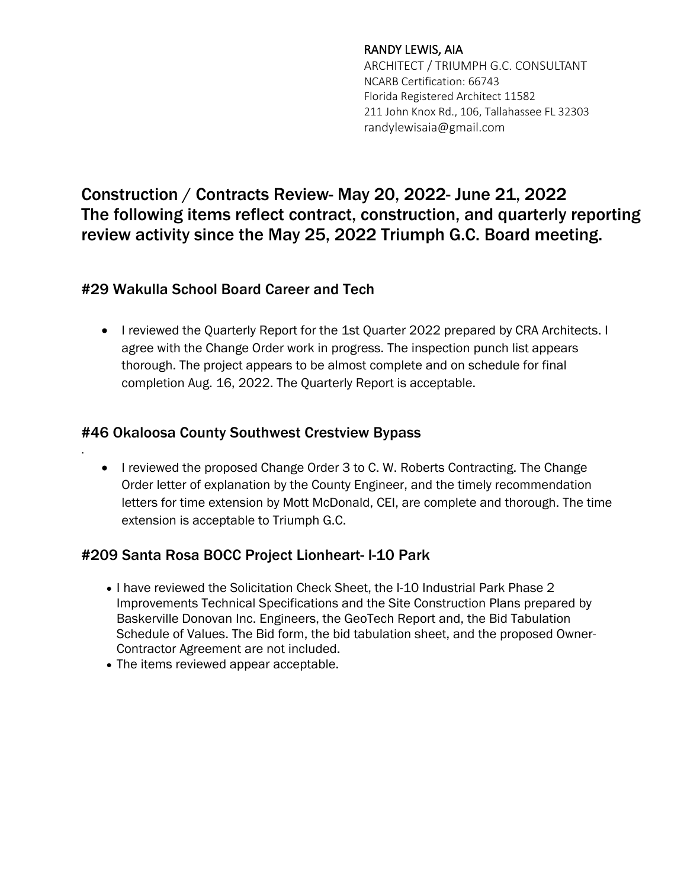## RANDY LEWIS, AIA

ARCHITECT / TRIUMPH G.C. CONSULTANT NCARB Certification: 66743 Florida Registered Architect 11582 211 John Knox Rd., 106, Tallahassee FL 32303 randylewisaia@gmail.com

# Construction / Contracts Review- May 20, 2022- June 21, 2022 The following items reflect contract, construction, and quarterly reporting review activity since the May 25, 2022 Triumph G.C. Board meeting.

# #29 Wakulla School Board Career and Tech

• I reviewed the Quarterly Report for the 1st Quarter 2022 prepared by CRA Architects. I agree with the Change Order work in progress. The inspection punch list appears thorough. The project appears to be almost complete and on schedule for final completion Aug. 16, 2022. The Quarterly Report is acceptable.

# #46 Okaloosa County Southwest Crestview Bypass

.

• I reviewed the proposed Change Order 3 to C. W. Roberts Contracting. The Change Order letter of explanation by the County Engineer, and the timely recommendation letters for time extension by Mott McDonald, CEI, are complete and thorough. The time extension is acceptable to Triumph G.C.

# #209 Santa Rosa BOCC Project Lionheart- I-10 Park

- I have reviewed the Solicitation Check Sheet, the I-10 Industrial Park Phase 2 Improvements Technical Specifications and the Site Construction Plans prepared by Baskerville Donovan Inc. Engineers, the GeoTech Report and, the Bid Tabulation Schedule of Values. The Bid form, the bid tabulation sheet, and the proposed Owner-Contractor Agreement are not included.
- The items reviewed appear acceptable.